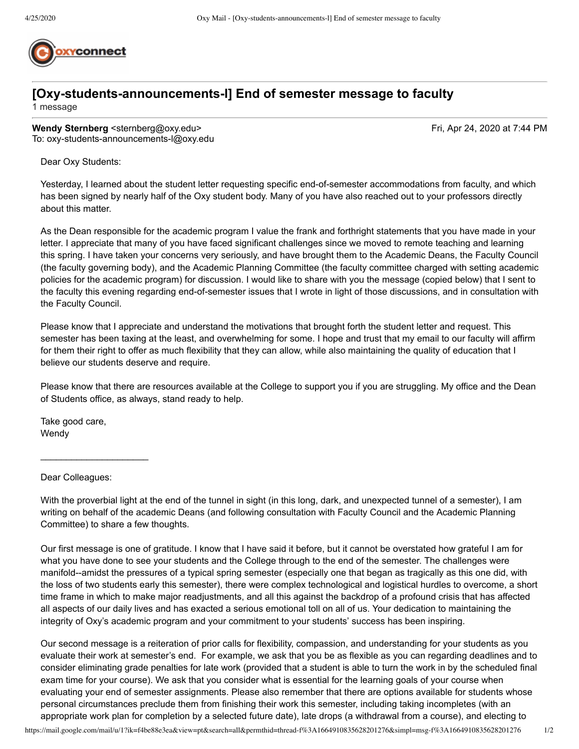

## **[Oxy-students-announcements-l] End of semester message to faculty**

1 message

**Wendy Sternberg <sternberg@oxy.edu>** Fri, Apr 24, 2020 at 7:44 PM To: oxy-students-announcements-l@oxy.edu

Dear Oxy Students:

Yesterday, I learned about the student letter requesting specific end-of-semester accommodations from faculty, and which has been signed by nearly half of the Oxy student body. Many of you have also reached out to your professors directly about this matter.

As the Dean responsible for the academic program I value the frank and forthright statements that you have made in your letter. I appreciate that many of you have faced significant challenges since we moved to remote teaching and learning this spring. I have taken your concerns very seriously, and have brought them to the Academic Deans, the Faculty Council (the faculty governing body), and the Academic Planning Committee (the faculty committee charged with setting academic policies for the academic program) for discussion. I would like to share with you the message (copied below) that I sent to the faculty this evening regarding end-of-semester issues that I wrote in light of those discussions, and in consultation with the Faculty Council.

Please know that I appreciate and understand the motivations that brought forth the student letter and request. This semester has been taxing at the least, and overwhelming for some. I hope and trust that my email to our faculty will affirm for them their right to offer as much flexibility that they can allow, while also maintaining the quality of education that I believe our students deserve and require.

Please know that there are resources available at the College to support you if you are struggling. My office and the Dean of Students office, as always, stand ready to help.

Take good care, Wendy

Dear Colleagues:

 $\_$ 

With the proverbial light at the end of the tunnel in sight (in this long, dark, and unexpected tunnel of a semester), I am writing on behalf of the academic Deans (and following consultation with Faculty Council and the Academic Planning Committee) to share a few thoughts.

Our first message is one of gratitude. I know that I have said it before, but it cannot be overstated how grateful I am for what you have done to see your students and the College through to the end of the semester. The challenges were manifold--amidst the pressures of a typical spring semester (especially one that began as tragically as this one did, with the loss of two students early this semester), there were complex technological and logistical hurdles to overcome, a short time frame in which to make major readjustments, and all this against the backdrop of a profound crisis that has affected all aspects of our daily lives and has exacted a serious emotional toll on all of us. Your dedication to maintaining the integrity of Oxy's academic program and your commitment to your students' success has been inspiring.

Our second message is a reiteration of prior calls for flexibility, compassion, and understanding for your students as you evaluate their work at semester's end. For example, we ask that you be as flexible as you can regarding deadlines and to consider eliminating grade penalties for late work (provided that a student is able to turn the work in by the scheduled final exam time for your course). We ask that you consider what is essential for the learning goals of your course when evaluating your end of semester assignments. Please also remember that there are options available for students whose personal circumstances preclude them from finishing their work this semester, including taking incompletes (with an appropriate work plan for completion by a selected future date), late drops (a withdrawal from a course), and electing to